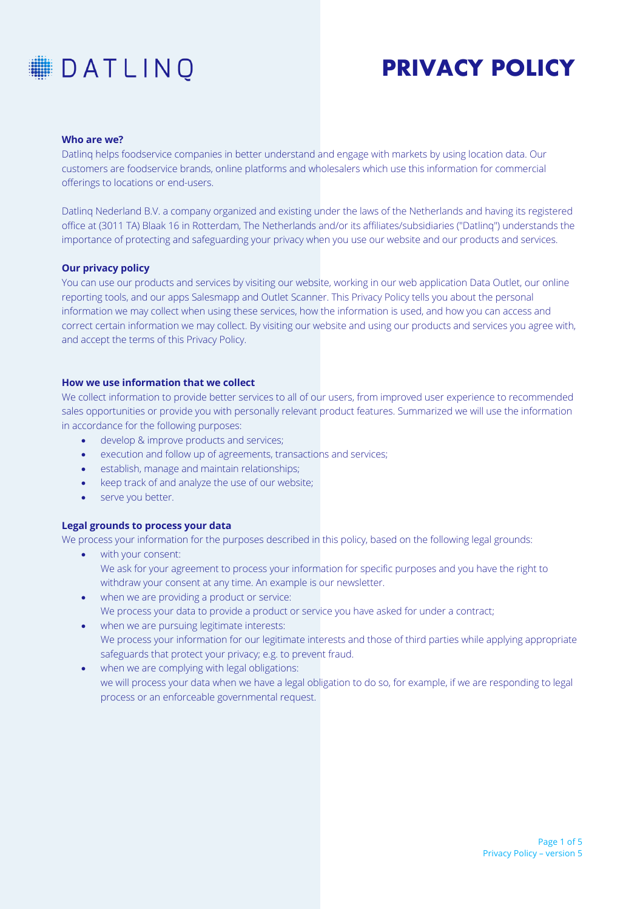

### **Who are we?**

Datlinq helps foodservice companies in better understand and engage with markets by using location data. Our customers are foodservice brands, online platforms and wholesalers which use this information for commercial offerings to locations or end-users.

Datlinq Nederland B.V. a company organized and existing under the laws of the Netherlands and having its registered office at (3011 TA) Blaak 16 in Rotterdam, The Netherlands and/or its affiliates/subsidiaries ("Datlinq") understands the importance of protecting and safeguarding your privacy when you use our website and our products and services.

#### **Our privacy policy**

You can use our products and services by visiting our website, working in our web application Data Outlet, our online reporting tools, and our apps Salesmapp and Outlet Scanner. This Privacy Policy tells you about the personal information we may collect when using these services, how the information is used, and how you can access and correct certain information we may collect. By visiting our website and using our products and services you agree with, and accept the terms of this Privacy Policy.

## **How we use information that we collect**

We collect information to provide better services to all of our users, from improved user experience to recommended sales opportunities or provide you with personally relevant product features. Summarized we will use the information in accordance for the following purposes:

- develop & improve products and services;
- execution and follow up of agreements, transactions and services;
- establish, manage and maintain relationships;
- keep track of and analyze the use of our website;
- serve you better.

# **Legal grounds to process your data**

We process your information for the purposes described in this policy, based on the following legal grounds:

- with your consent: We ask for your agreement to process your information for specific purposes and you have the right to withdraw your consent at any time. An example is our newsletter.
- when we are providing a product or service: We process your data to provide a product or service you have asked for under a contract;
- when we are pursuing legitimate interests: We process your information for our legitimate interests and those of third parties while applying appropriate safeguards that protect your privacy; e.g. to prevent fraud.
- when we are complying with legal obligations: we will process your data when we have a legal obligation to do so, for example, if we are responding to legal process or an enforceable governmental request.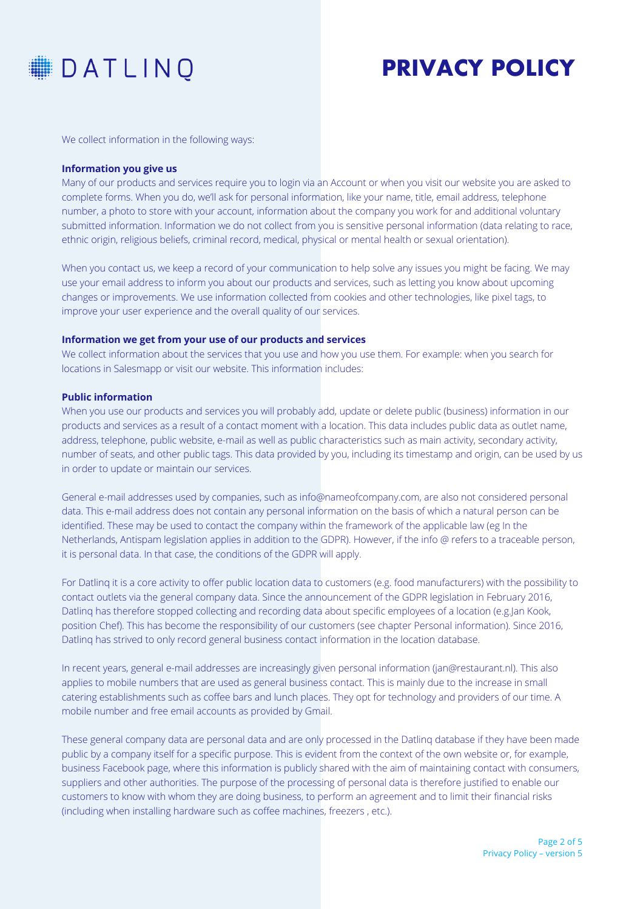

We collect information in the following ways:

#### **Information you give us**

Many of our products and services require you to login via an Account or when you visit our website you are asked to complete forms. When you do, we'll ask for personal information, like your name, title, email address, telephone number, a photo to store with your account, information about the company you work for and additional voluntary submitted information. Information we do not collect from you is sensitive personal information (data relating to race, ethnic origin, religious beliefs, criminal record, medical, physical or mental health or sexual orientation).

When you contact us, we keep a record of your communication to help solve any issues you might be facing. We may use your email address to inform you about our products and services, such as letting you know about upcoming changes or improvements. We use information collected from cookies and other technologies, like pixel tags, to improve your user experience and the overall quality of our services.

# **Information we get from your use of our products and services**

We collect information about the services that you use and how you use them. For example: when you search for locations in Salesmapp or visit our website. This information includes:

# **Public information**

When you use our products and services you will probably add, update or delete public (business) information in our products and services as a result of a contact moment with a location. This data includes public data as outlet name, address, telephone, public website, e-mail as well as public characteristics such as main activity, secondary activity, number of seats, and other public tags. This data provided by you, including its timestamp and origin, can be used by us in order to update or maintain our services.

General e-mail addresses used by companies, such as info@nameofcompany.com, are also not considered personal data. This e-mail address does not contain any personal information on the basis of which a natural person can be identified. These may be used to contact the company within the framework of the applicable law (eg In the Netherlands, Antispam legislation applies in addition to the GDPR). However, if the info @ refers to a traceable person, it is personal data. In that case, the conditions of the GDPR will apply.

For Datlinq it is a core activity to offer public location data to customers (e.g. food manufacturers) with the possibility to contact outlets via the general company data. Since the announcement of the GDPR legislation in February 2016, Datling has therefore stopped collecting and recording data about specific employees of a location (e.g.Jan Kook, position Chef). This has become the responsibility of our customers (see chapter Personal information). Since 2016, Datlinq has strived to only record general business contact information in the location database.

In recent years, general e-mail addresses are increasingly given personal information (jan@restaurant.nl). This also applies to mobile numbers that are used as general business contact. This is mainly due to the increase in small catering establishments such as coffee bars and lunch places. They opt for technology and providers of our time. A mobile number and free email accounts as provided by Gmail.

These general company data are personal data and are only processed in the Datlinq database if they have been made public by a company itself for a specific purpose. This is evident from the context of the own website or, for example, business Facebook page, where this information is publicly shared with the aim of maintaining contact with consumers, suppliers and other authorities. The purpose of the processing of personal data is therefore justified to enable our customers to know with whom they are doing business, to perform an agreement and to limit their financial risks (including when installing hardware such as coffee machines, freezers , etc.).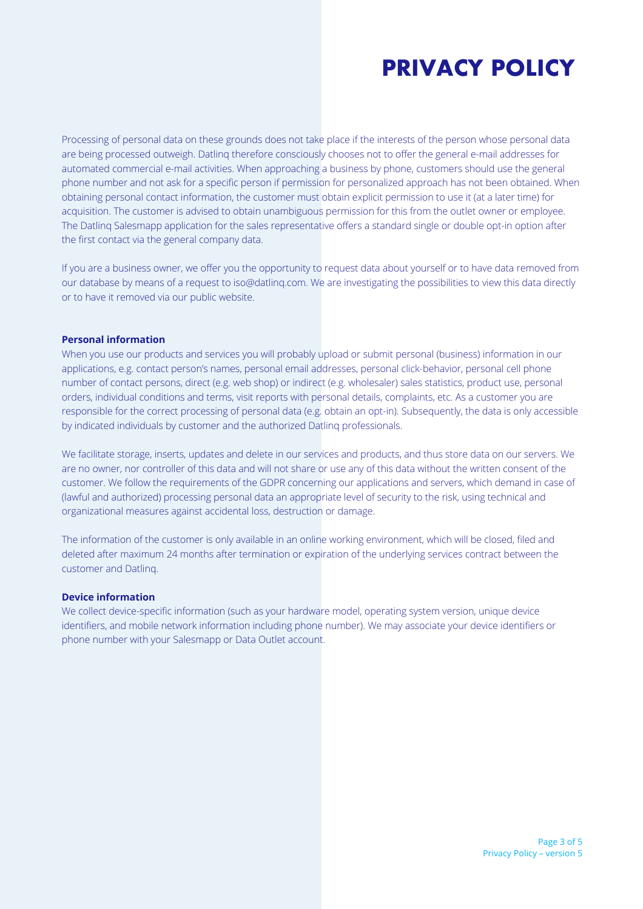Processing of personal data on these grounds does not take place if the interests of the person whose personal data are being processed outweigh. Datlinq therefore consciously chooses not to offer the general e-mail addresses for automated commercial e-mail activities. When approaching a business by phone, customers should use the general phone number and not ask for a specific person if permission for personalized approach has not been obtained. When obtaining personal contact information, the customer must obtain explicit permission to use it (at a later time) for acquisition. The customer is advised to obtain unambiguous permission for this from the outlet owner or employee. The Datlinq Salesmapp application for the sales representative offers a standard single or double opt-in option after the first contact via the general company data.

If you are a business owner, we offer you the opportunity to request data about yourself or to have data removed from our database by means of a request to iso@datlinq.com. We are investigating the possibilities to view this data directly or to have it removed via our public website.

### **Personal information**

When you use our products and services you will probably upload or submit personal (business) information in our applications, e.g. contact person's names, personal email addresses, personal click-behavior, personal cell phone number of contact persons, direct (e.g. web shop) or indirect (e.g. wholesaler) sales statistics, product use, personal orders, individual conditions and terms, visit reports with personal details, complaints, etc. As a customer you are responsible for the correct processing of personal data (e.g. obtain an opt-in). Subsequently, the data is only accessible by indicated individuals by customer and the authorized Datlinq professionals.

We facilitate storage, inserts, updates and delete in our services and products, and thus store data on our servers. We are no owner, nor controller of this data and will not share or use any of this data without the written consent of the customer. We follow the requirements of the GDPR concerning our applications and servers, which demand in case of (lawful and authorized) processing personal data an appropriate level of security to the risk, using technical and organizational measures against accidental loss, destruction or damage.

The information of the customer is only available in an online working environment, which will be closed, filed and deleted after maximum 24 months after termination or expiration of the underlying services contract between the customer and Datlinq.

#### **Device information**

We collect device-specific information (such as your hardware model, operating system version, unique device identifiers, and mobile network information including phone number). We may associate your device identifiers or phone number with your Salesmapp or Data Outlet account.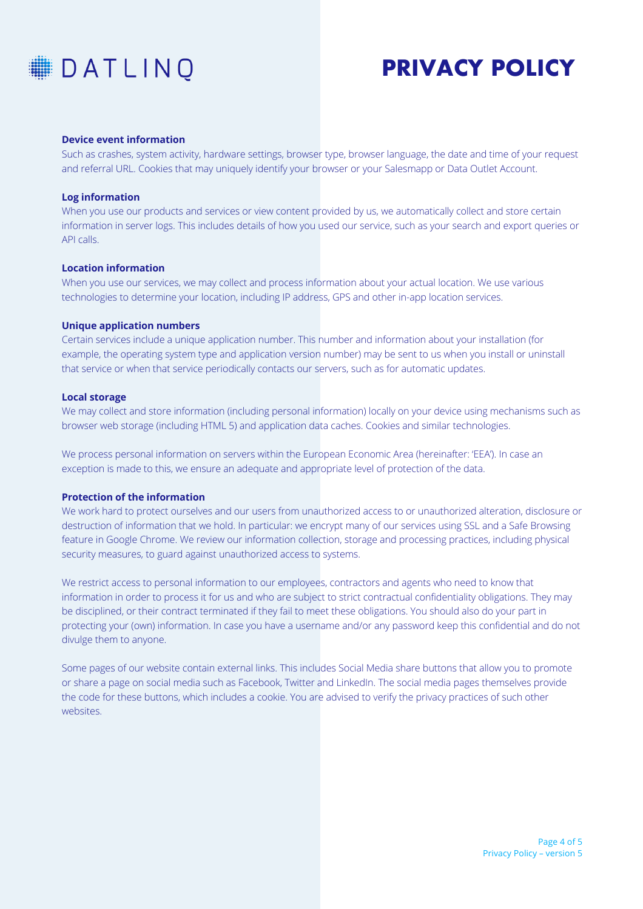

#### **Device event information**

Such as crashes, system activity, hardware settings, browser type, browser language, the date and time of your request and referral URL. Cookies that may uniquely identify your browser or your Salesmapp or Data Outlet Account.

### **Log information**

When you use our products and services or view content provided by us, we automatically collect and store certain information in server logs. This includes details of how you used our service, such as your search and export queries or API calls.

# **Location information**

When you use our services, we may collect and process information about your actual location. We use various technologies to determine your location, including IP address, GPS and other in-app location services.

#### **Unique application numbers**

Certain services include a unique application number. This number and information about your installation (for example, the operating system type and application version number) may be sent to us when you install or uninstall that service or when that service periodically contacts our servers, such as for automatic updates.

### **Local storage**

We may collect and store information (including personal information) locally on your device using mechanisms such as browser web storage (including HTML 5) and application data caches. Cookies and similar technologies.

We process personal information on servers within the European Economic Area (hereinafter: 'EEA'). In case an exception is made to this, we ensure an adequate and appropriate level of protection of the data.

# **Protection of the information**

We work hard to protect ourselves and our users from unauthorized access to or unauthorized alteration, disclosure or destruction of information that we hold. In particular: we encrypt many of our services using SSL and a Safe Browsing feature in Google Chrome. We review our information collection, storage and processing practices, including physical security measures, to guard against unauthorized access to systems.

We restrict access to personal information to our employees, contractors and agents who need to know that information in order to process it for us and who are subject to strict contractual confidentiality obligations. They may be disciplined, or their contract terminated if they fail to meet these obligations. You should also do your part in protecting your (own) information. In case you have a username and/or any password keep this confidential and do not divulge them to anyone.

Some pages of our website contain external links. This includes Social Media share buttons that allow you to promote or share a page on social media such as Facebook, Twitter and LinkedIn. The social media pages themselves provide the code for these buttons, which includes a cookie. You are advised to verify the privacy practices of such other websites.